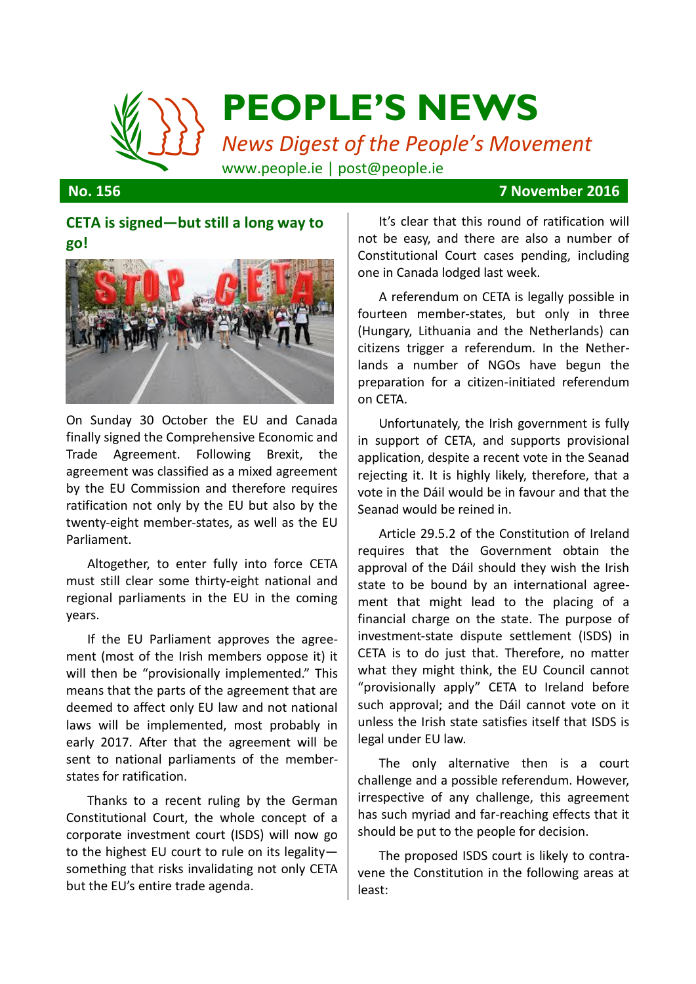

### **No. 156 7 November 2016**

## **CETA is signed—but still a long way to go!**



On Sunday 30 October the EU and Canada finally signed the Comprehensive Economic and Trade Agreement. Following Brexit, the agreement was classified as a mixed agreement by the EU Commission and therefore requires ratification not only by the EU but also by the twenty-eight member-states, as well as the EU Parliament.

Altogether, to enter fully into force CETA must still clear some thirty-eight national and regional parliaments in the EU in the coming years.

If the EU Parliament approves the agreement (most of the Irish members oppose it) it will then be "provisionally implemented." This means that the parts of the agreement that are deemed to affect only EU law and not national laws will be implemented, most probably in early 2017. After that the agreement will be sent to national parliaments of the memberstates for ratification.

Thanks to a recent ruling by the German Constitutional Court, the whole concept of a corporate investment court (ISDS) will now go to the highest EU court to rule on its legality something that risks invalidating not only CETA but the EU's entire trade agenda.

It's clear that this round of ratification will not be easy, and there are also a number of Constitutional Court cases pending, including one in Canada lodged last week.

A referendum on CETA is legally possible in fourteen member-states, but only in three (Hungary, Lithuania and the Netherlands) can citizens trigger a referendum. In the Netherlands a number of NGOs have begun the preparation for a citizen-initiated referendum on CETA.

Unfortunately, the Irish government is fully in support of CETA, and supports provisional application, despite a recent vote in the Seanad rejecting it. It is highly likely, therefore, that a vote in the Dáil would be in favour and that the Seanad would be reined in.

Article 29.5.2 of the Constitution of Ireland requires that the Government obtain the approval of the Dáil should they wish the Irish state to be bound by an international agreement that might lead to the placing of a financial charge on the state. The purpose of investment-state dispute settlement (ISDS) in CETA is to do just that. Therefore, no matter what they might think, the EU Council cannot "provisionally apply" CETA to Ireland before such approval; and the Dáil cannot vote on it unless the Irish state satisfies itself that ISDS is legal under EU law.

The only alternative then is a court challenge and a possible referendum. However, irrespective of any challenge, this agreement has such myriad and far-reaching effects that it should be put to the people for decision.

The proposed ISDS court is likely to contravene the Constitution in the following areas at least: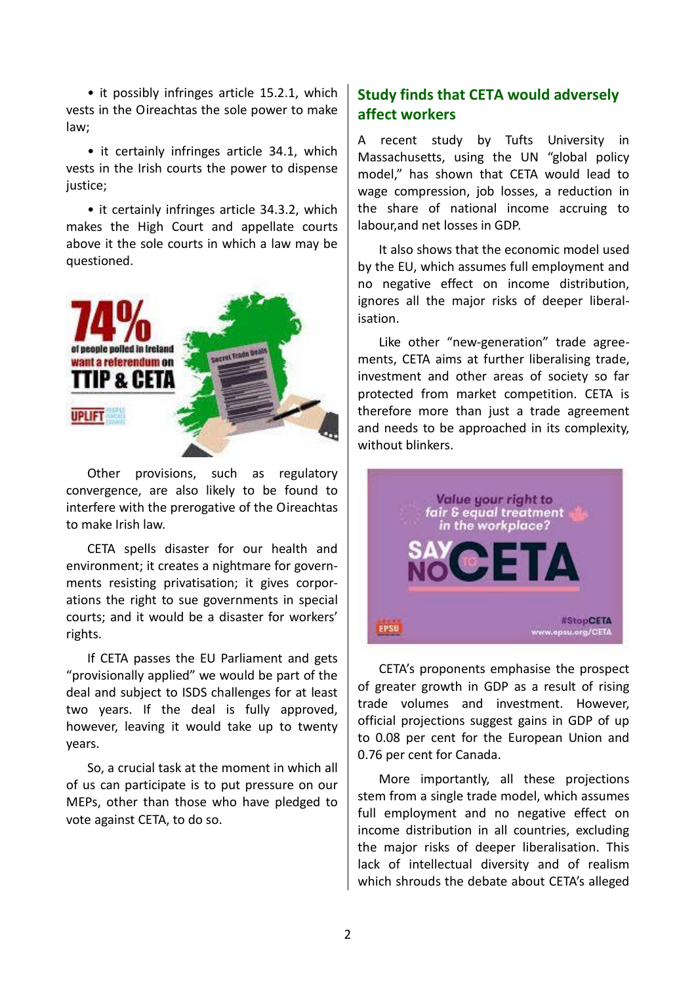• it possibly infringes article 15.2.1, which vests in the Oireachtas the sole power to make law;

• it certainly infringes article 34.1, which vests in the Irish courts the power to dispense justice;

• it certainly infringes article 34.3.2, which makes the High Court and appellate courts above it the sole courts in which a law may be questioned.



Other provisions, such as regulatory convergence, are also likely to be found to interfere with the prerogative of the Oireachtas to make Irish law.

CETA spells disaster for our health and environment; it creates a nightmare for governments resisting privatisation; it gives corporations the right to sue governments in special courts; and it would be a disaster for workers' rights.

If CETA passes the EU Parliament and gets "provisionally applied" we would be part of the deal and subject to ISDS challenges for at least two years. If the deal is fully approved, however, leaving it would take up to twenty years.

So, a crucial task at the moment in which all of us can participate is to put pressure on our MEPs, other than those who have pledged to vote against CETA, to do so.

# **Study finds that CETA would adversely affect workers**

A recent study by Tufts University in Massachusetts, using the UN "global policy model," has shown that CETA would lead to wage compression, job losses, a reduction in the share of national income accruing to labour,and net losses in GDP.

It also shows that the economic model used by the EU, which assumes full employment and no negative effect on income distribution, ignores all the major risks of deeper liberalisation.

Like other "new-generation" trade agreements, CETA aims at further liberalising trade, investment and other areas of society so far protected from market competition. CETA is therefore more than just a trade agreement and needs to be approached in its complexity, without blinkers.



CETA's proponents emphasise the prospect of greater growth in GDP as a result of rising trade volumes and investment. However, official projections suggest gains in GDP of up to 0.08 per cent for the European Union and 0.76 per cent for Canada.

More importantly, all these projections stem from a single trade model, which assumes full employment and no negative effect on income distribution in all countries, excluding the major risks of deeper liberalisation. This lack of intellectual diversity and of realism which shrouds the debate about CETA's alleged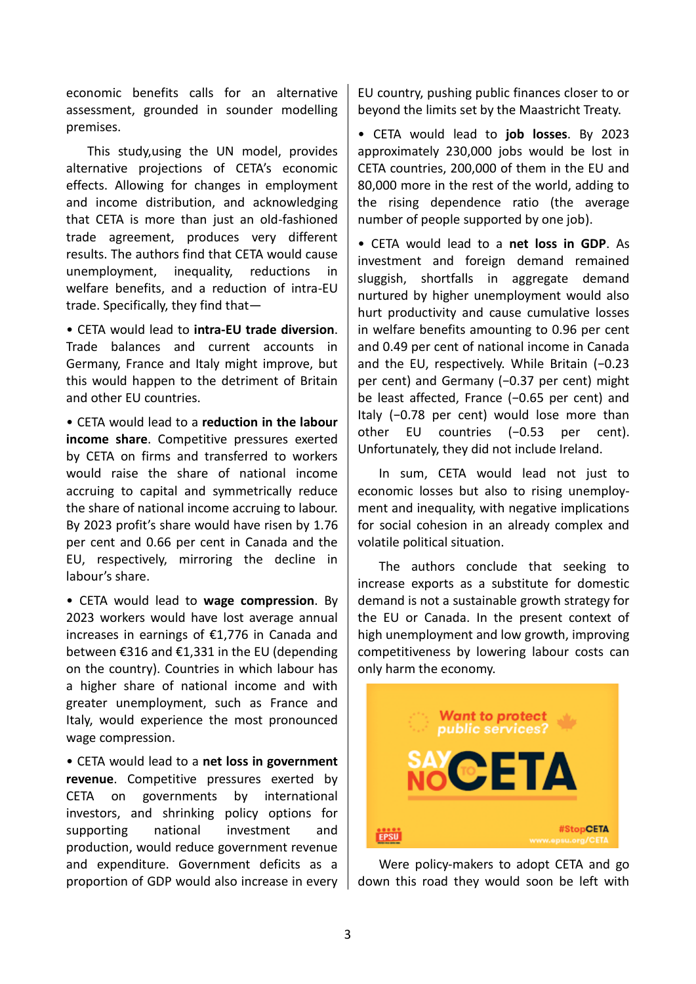economic benefits calls for an alternative assessment, grounded in sounder modelling premises.

This study,using the UN model, provides alternative projections of CETA's economic effects. Allowing for changes in employment and income distribution, and acknowledging that CETA is more than just an old-fashioned trade agreement, produces very different results. The authors find that CETA would cause unemployment, inequality, reductions in welfare benefits, and a reduction of intra-EU trade. Specifically, they find that—

• CETA would lead to **intra-EU trade diversion**. Trade balances and current accounts in Germany, France and Italy might improve, but this would happen to the detriment of Britain and other EU countries.

• CETA would lead to a **reduction in the labour income share**. Competitive pressures exerted by CETA on firms and transferred to workers would raise the share of national income accruing to capital and symmetrically reduce the share of national income accruing to labour. By 2023 profit's share would have risen by 1.76 per cent and 0.66 per cent in Canada and the EU, respectively, mirroring the decline in labour's share.

• CETA would lead to **wage compression**. By 2023 workers would have lost average annual increases in earnings of €1,776 in Canada and between €316 and €1,331 in the EU (depending on the country). Countries in which labour has a higher share of national income and with greater unemployment, such as France and Italy, would experience the most pronounced wage compression.

• CETA would lead to a **net loss in government revenue**. Competitive pressures exerted by CETA on governments by international investors, and shrinking policy options for supporting national investment and production, would reduce government revenue and expenditure. Government deficits as a proportion of GDP would also increase in every

EU country, pushing public finances closer to or beyond the limits set by the Maastricht Treaty.

• CETA would lead to **job losses**. By 2023 approximately 230,000 jobs would be lost in CETA countries, 200,000 of them in the EU and 80,000 more in the rest of the world, adding to the rising dependence ratio (the average number of people supported by one job).

• CETA would lead to a **net loss in GDP**. As investment and foreign demand remained sluggish, shortfalls in aggregate demand nurtured by higher unemployment would also hurt productivity and cause cumulative losses in welfare benefits amounting to 0.96 per cent and 0.49 per cent of national income in Canada and the EU, respectively. While Britain (−0.23 per cent) and Germany (−0.37 per cent) might be least affected, France (−0.65 per cent) and Italy (−0.78 per cent) would lose more than other EU countries (−0.53 per cent). Unfortunately, they did not include Ireland.

In sum, CETA would lead not just to economic losses but also to rising unemployment and inequality, with negative implications for social cohesion in an already complex and volatile political situation.

The authors conclude that seeking to increase exports as a substitute for domestic demand is not a sustainable growth strategy for the EU or Canada. In the present context of high unemployment and low growth, improving competitiveness by lowering labour costs can only harm the economy.



Were policy-makers to adopt CETA and go down this road they would soon be left with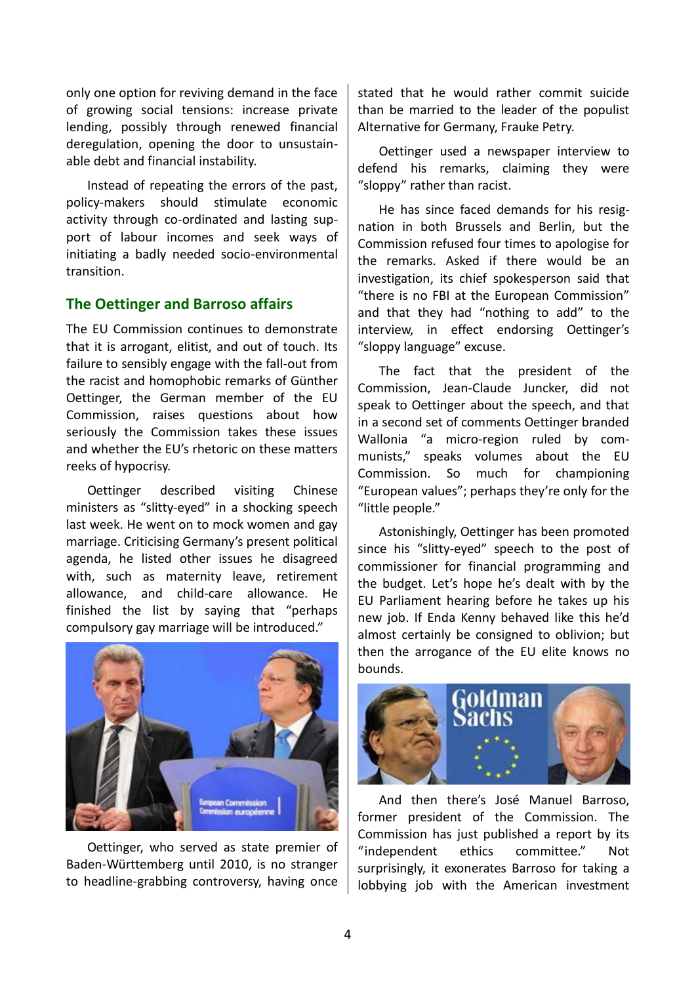only one option for reviving demand in the face of growing social tensions: increase private lending, possibly through renewed financial deregulation, opening the door to unsustainable debt and financial instability.

Instead of repeating the errors of the past, policy-makers should stimulate economic activity through co-ordinated and lasting support of labour incomes and seek ways of initiating a badly needed socio-environmental transition.

## **The Oettinger and Barroso affairs**

The EU Commission continues to demonstrate that it is arrogant, elitist, and out of touch. Its failure to sensibly engage with the fall-out from the racist and homophobic remarks of Günther Oettinger, the German member of the EU Commission, raises questions about how seriously the Commission takes these issues and whether the EU's rhetoric on these matters reeks of hypocrisy.

Oettinger described visiting Chinese ministers as "slitty-eyed" in a shocking speech last week. He went on to mock women and gay marriage. Criticising Germany's present political agenda, he listed other issues he disagreed with, such as maternity leave, retirement allowance, and child-care allowance. He finished the list by saying that "perhaps compulsory gay marriage will be introduced."



Oettinger, who served as state premier of Baden-Württemberg until 2010, is no stranger to headline-grabbing controversy, having once

stated that he would rather commit suicide than be married to the leader of the populist Alternative for Germany, Frauke Petry.

Oettinger used a newspaper interview to defend his remarks, claiming they were "sloppy" rather than racist.

He has since faced demands for his resignation in both Brussels and Berlin, but the Commission refused four times to apologise for the remarks. Asked if there would be an investigation, its chief spokesperson said that "there is no FBI at the European Commission" and that they had "nothing to add" to the interview, in effect endorsing Oettinger's "sloppy language" excuse.

The fact that the president of the Commission, Jean-Claude Juncker, did not speak to Oettinger about the speech, and that in a second set of comments Oettinger branded Wallonia "a micro-region ruled by communists," speaks volumes about the EU Commission. So much for championing "European values"; perhaps they're only for the "little people."

Astonishingly, Oettinger has been promoted since his "slitty-eyed" speech to the post of commissioner for financial programming and the budget. Let's hope he's dealt with by the EU Parliament hearing before he takes up his new job. If Enda Kenny behaved like this he'd almost certainly be consigned to oblivion; but then the arrogance of the EU elite knows no bounds.



And then there's José Manuel Barroso, former president of the Commission. The Commission has just published a report by its "independent ethics committee." Not surprisingly, it exonerates Barroso for taking a lobbying job with the American investment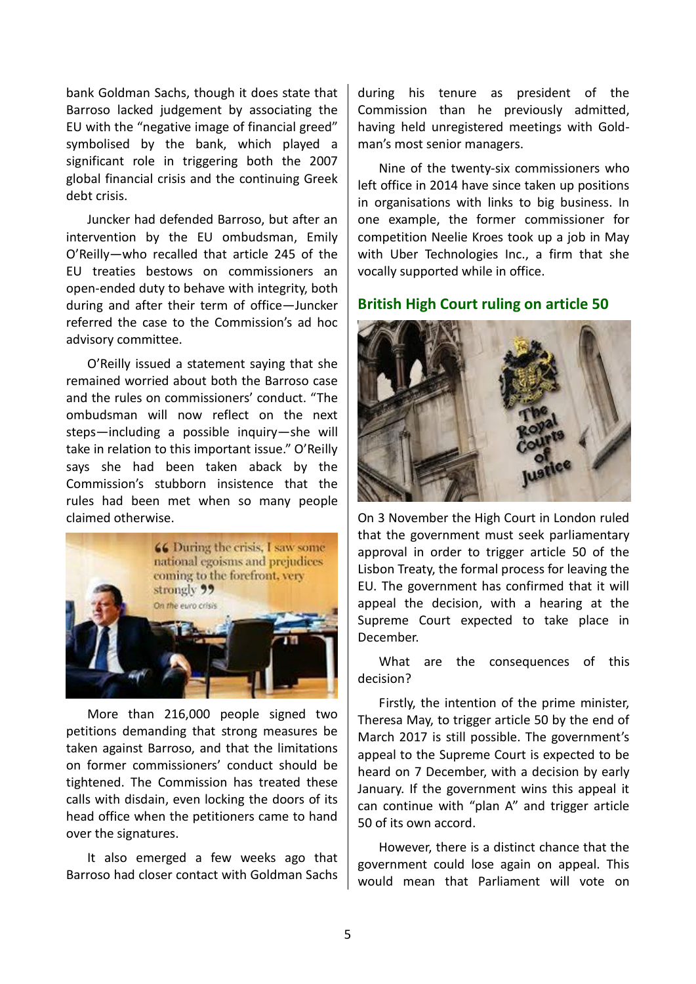bank Goldman Sachs, though it does state that Barroso lacked judgement by associating the EU with the "negative image of financial greed" symbolised by the bank, which played a significant role in triggering both the 2007 global financial crisis and the continuing Greek debt crisis.

Juncker had defended Barroso, but after an intervention by the EU ombudsman, Emily O'Reilly—who recalled that article 245 of the EU treaties bestows on commissioners an open-ended duty to behave with integrity, both during and after their term of office—Juncker referred the case to the Commission's ad hoc advisory committee.

O'Reilly issued a statement saying that she remained worried about both the Barroso case and the rules on commissioners' conduct. "The ombudsman will now reflect on the next steps—including a possible inquiry—she will take in relation to this important issue." O'Reilly says she had been taken aback by the Commission's stubborn insistence that the rules had been met when so many people claimed otherwise.



More than 216,000 people signed two petitions demanding that strong measures be taken against Barroso, and that the limitations on former commissioners' conduct should be tightened. The Commission has treated these calls with disdain, even locking the doors of its head office when the petitioners came to hand over the signatures.

It also emerged a few weeks ago that Barroso had closer contact with Goldman Sachs

during his tenure as president of the Commission than he previously admitted, having held unregistered meetings with Goldman's most senior managers.

Nine of the twenty-six commissioners who left office in 2014 have since taken up positions in organisations with links to big business. In one example, the former commissioner for competition Neelie Kroes took up a job in May with Uber Technologies Inc., a firm that she vocally supported while in office.

#### **British High Court ruling on article 50**



On 3 November the High Court in London ruled that the government must seek parliamentary approval in order to trigger article 50 of the Lisbon Treaty, the formal process for leaving the EU. The government has confirmed that it will appeal the decision, with a hearing at the Supreme Court expected to take place in December.

What are the consequences of this decision?

Firstly, the intention of the prime minister, Theresa May, to trigger article 50 by the end of March 2017 is still possible. The government's appeal to the Supreme Court is expected to be heard on 7 December, with a decision by early January. If the government wins this appeal it can continue with "plan A" and trigger article 50 of its own accord.

However, there is a distinct chance that the government could lose again on appeal. This would mean that Parliament will vote on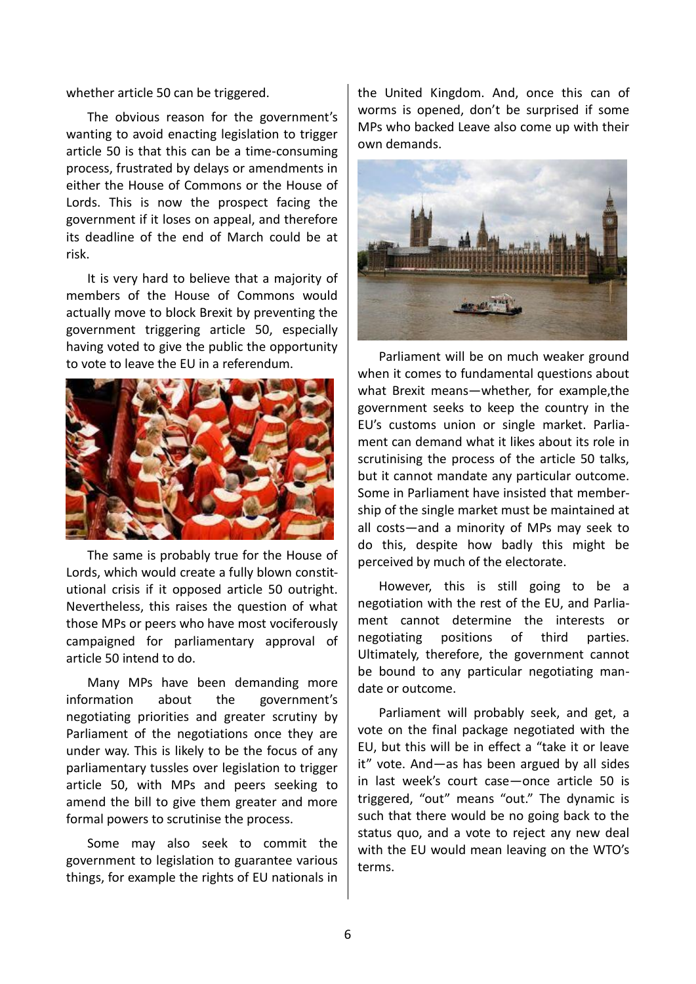whether article 50 can be triggered.

The obvious reason for the government's wanting to avoid enacting legislation to trigger article 50 is that this can be a time-consuming process, frustrated by delays or amendments in either the House of Commons or the House of Lords. This is now the prospect facing the government if it loses on appeal, and therefore its deadline of the end of March could be at risk.

It is very hard to believe that a majority of members of the House of Commons would actually move to block Brexit by preventing the government triggering article 50, especially having voted to give the public the opportunity to vote to leave the EU in a referendum.



The same is probably true for the House of Lords, which would create a fully blown constitutional crisis if it opposed article 50 outright. Nevertheless, this raises the question of what those MPs or peers who have most vociferously campaigned for parliamentary approval of article 50 intend to do.

Many MPs have been demanding more information about the government's negotiating priorities and greater scrutiny by Parliament of the negotiations once they are under way. This is likely to be the focus of any parliamentary tussles over legislation to trigger article 50, with MPs and peers seeking to amend the bill to give them greater and more formal powers to scrutinise the process.

Some may also seek to commit the government to legislation to guarantee various things, for example the rights of EU nationals in

the United Kingdom. And, once this can of worms is opened, don't be surprised if some MPs who backed Leave also come up with their own demands.



Parliament will be on much weaker ground when it comes to fundamental questions about what Brexit means—whether, for example,the government seeks to keep the country in the EU's customs union or single market. Parliament can demand what it likes about its role in scrutinising the process of the article 50 talks, but it cannot mandate any particular outcome. Some in Parliament have insisted that membership of the single market must be maintained at all costs—and a minority of MPs may seek to do this, despite how badly this might be perceived by much of the electorate.

However, this is still going to be a negotiation with the rest of the EU, and Parliament cannot determine the interests or negotiating positions of third parties. Ultimately, therefore, the government cannot be bound to any particular negotiating mandate or outcome.

Parliament will probably seek, and get, a vote on the final package negotiated with the EU, but this will be in effect a "take it or leave it" vote. And—as has been argued by all sides in last week's court case—once article 50 is triggered, "out" means "out." The dynamic is such that there would be no going back to the status quo, and a vote to reject any new deal with the EU would mean leaving on the WTO's terms.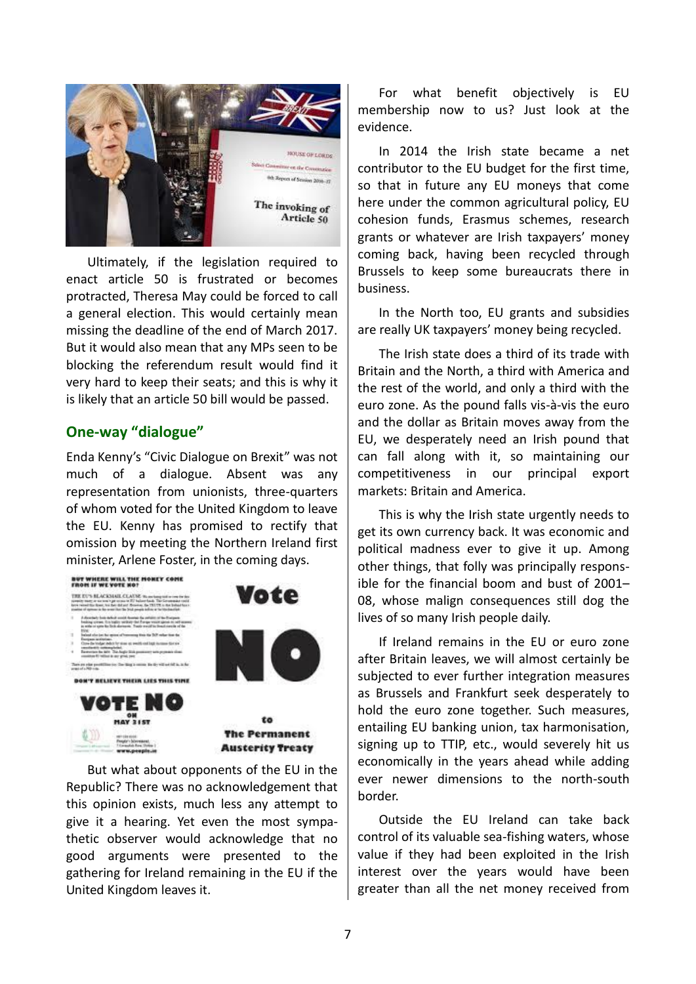

Ultimately, if the legislation required to enact article 50 is frustrated or becomes protracted, Theresa May could be forced to call a general election. This would certainly mean missing the deadline of the end of March 2017. But it would also mean that any MPs seen to be blocking the referendum result would find it very hard to keep their seats; and this is why it is likely that an article 50 bill would be passed.

## **One-way "dialogue"**

Enda Kenny's "Civic Dialogue on Brexit" was not much of a dialogue. Absent was any representation from unionists, three-quarters of whom voted for the United Kingdom to leave the EU. Kenny has promised to rectify that omission by meeting the Northern Ireland first minister, Arlene Foster, in the coming days.



But what about opponents of the EU in the Republic? There was no acknowledgement that this opinion exists, much less any attempt to give it a hearing. Yet even the most sympathetic observer would acknowledge that no good arguments were presented to the gathering for Ireland remaining in the EU if the United Kingdom leaves it.

For what benefit objectively is EU membership now to us? Just look at the evidence.

In 2014 the Irish state became a net contributor to the EU budget for the first time, so that in future any EU moneys that come here under the common agricultural policy, EU cohesion funds, Erasmus schemes, research grants or whatever are Irish taxpayers' money coming back, having been recycled through Brussels to keep some bureaucrats there in business.

In the North too, EU grants and subsidies are really UK taxpayers' money being recycled.

The Irish state does a third of its trade with Britain and the North, a third with America and the rest of the world, and only a third with the euro zone. As the pound falls vis-à-vis the euro and the dollar as Britain moves away from the EU, we desperately need an Irish pound that can fall along with it, so maintaining our competitiveness in our principal export markets: Britain and America.

This is why the Irish state urgently needs to get its own currency back. It was economic and political madness ever to give it up. Among other things, that folly was principally responsible for the financial boom and bust of 2001– 08, whose malign consequences still dog the lives of so many Irish people daily.

If Ireland remains in the EU or euro zone after Britain leaves, we will almost certainly be subjected to ever further integration measures as Brussels and Frankfurt seek desperately to hold the euro zone together. Such measures, entailing EU banking union, tax harmonisation, signing up to TTIP, etc., would severely hit us economically in the years ahead while adding ever newer dimensions to the north-south border.

Outside the EU Ireland can take back control of its valuable sea-fishing waters, whose value if they had been exploited in the Irish interest over the years would have been greater than all the net money received from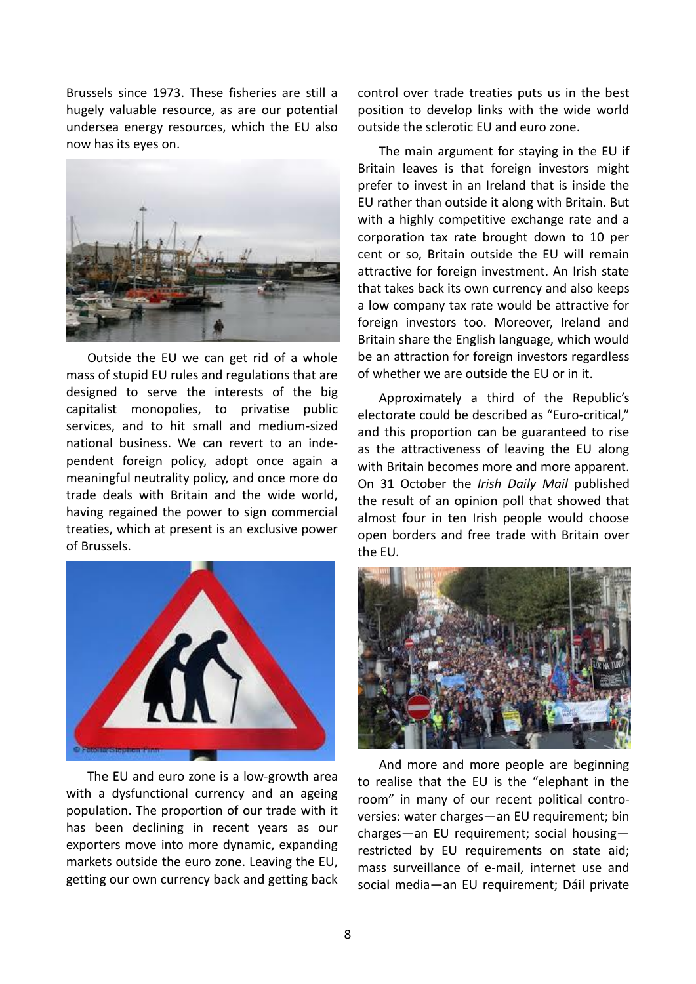Brussels since 1973. These fisheries are still a hugely valuable resource, as are our potential undersea energy resources, which the EU also now has its eyes on.



Outside the EU we can get rid of a whole mass of stupid EU rules and regulations that are designed to serve the interests of the big capitalist monopolies, to privatise public services, and to hit small and medium-sized national business. We can revert to an independent foreign policy, adopt once again a meaningful neutrality policy, and once more do trade deals with Britain and the wide world, having regained the power to sign commercial treaties, which at present is an exclusive power of Brussels.



The EU and euro zone is a low-growth area with a dysfunctional currency and an ageing population. The proportion of our trade with it has been declining in recent years as our exporters move into more dynamic, expanding markets outside the euro zone. Leaving the EU, getting our own currency back and getting back

control over trade treaties puts us in the best position to develop links with the wide world outside the sclerotic EU and euro zone.

The main argument for staying in the EU if Britain leaves is that foreign investors might prefer to invest in an Ireland that is inside the EU rather than outside it along with Britain. But with a highly competitive exchange rate and a corporation tax rate brought down to 10 per cent or so, Britain outside the EU will remain attractive for foreign investment. An Irish state that takes back its own currency and also keeps a low company tax rate would be attractive for foreign investors too. Moreover, Ireland and Britain share the English language, which would be an attraction for foreign investors regardless of whether we are outside the EU or in it.

Approximately a third of the Republic's electorate could be described as "Euro-critical," and this proportion can be guaranteed to rise as the attractiveness of leaving the EU along with Britain becomes more and more apparent. On 31 October the *Irish Daily Mail* published the result of an opinion poll that showed that almost four in ten Irish people would choose open borders and free trade with Britain over the EU.



And more and more people are beginning to realise that the EU is the "elephant in the room" in many of our recent political controversies: water charges—an EU requirement; bin charges—an EU requirement; social housing restricted by EU requirements on state aid; mass surveillance of e-mail, internet use and social media—an EU requirement; Dáil private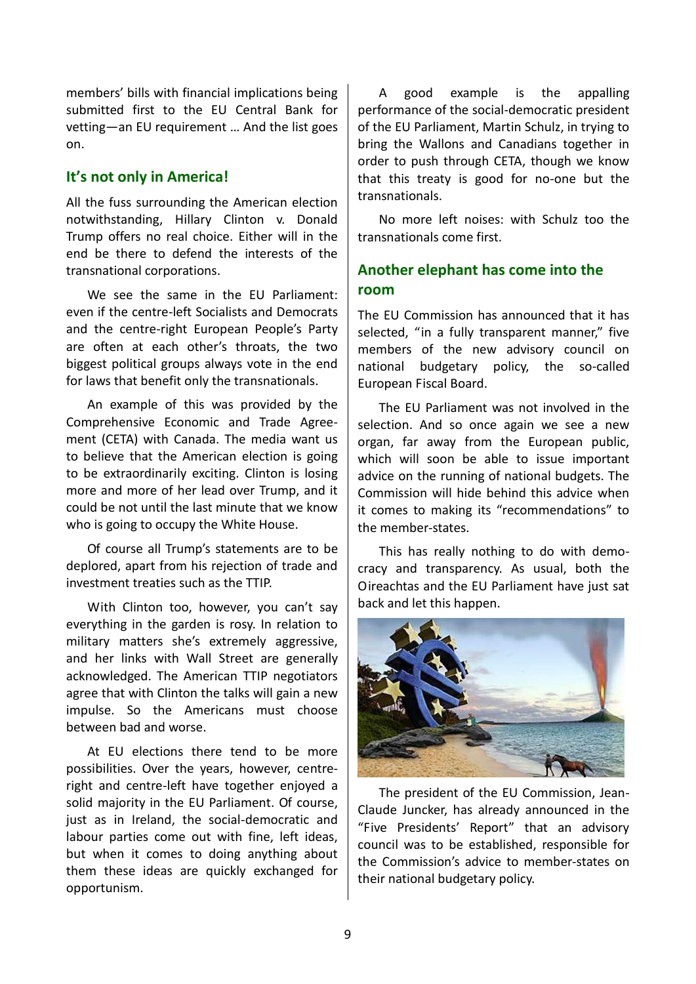members' bills with financial implications being submitted first to the EU Central Bank for vetting—an EU requirement … And the list goes on.

## **It's not only in America!**

All the fuss surrounding the American election notwithstanding, Hillary Clinton v. Donald Trump offers no real choice. Either will in the end be there to defend the interests of the transnational corporations.

We see the same in the EU Parliament: even if the centre-left Socialists and Democrats and the centre-right European People's Party are often at each other's throats, the two biggest political groups always vote in the end for laws that benefit only the transnationals.

An example of this was provided by the Comprehensive Economic and Trade Agreement (CETA) with Canada. The media want us to believe that the American election is going to be extraordinarily exciting. Clinton is losing more and more of her lead over Trump, and it could be not until the last minute that we know who is going to occupy the White House.

Of course all Trump's statements are to be deplored, apart from his rejection of trade and investment treaties such as the TTIP.

With Clinton too, however, you can't say everything in the garden is rosy. In relation to military matters she's extremely aggressive, and her links with Wall Street are generally acknowledged. The American TTIP negotiators agree that with Clinton the talks will gain a new impulse. So the Americans must choose between bad and worse.

At EU elections there tend to be more possibilities. Over the years, however, centreright and centre-left have together enjoyed a solid majority in the EU Parliament. Of course, just as in Ireland, the social-democratic and labour parties come out with fine, left ideas, but when it comes to doing anything about them these ideas are quickly exchanged for opportunism.

A good example is the appalling performance of the social-democratic president of the EU Parliament, Martin Schulz, in trying to bring the Wallons and Canadians together in order to push through CETA, though we know that this treaty is good for no-one but the transnationals.

No more left noises: with Schulz too the transnationals come first.

# **Another elephant has come into the room**

The EU Commission has announced that it has selected, "in a fully transparent manner." five members of the new advisory council on national budgetary policy, the so-called European Fiscal Board.

The EU Parliament was not involved in the selection. And so once again we see a new organ, far away from the European public, which will soon be able to issue important advice on the running of national budgets. The Commission will hide behind this advice when it comes to making its "recommendations" to the member-states.

This has really nothing to do with democracy and transparency. As usual, both the Oireachtas and the EU Parliament have just sat back and let this happen.



The president of the EU Commission, Jean-Claude Juncker, has already announced in the "Five Presidents' Report" that an advisory council was to be established, responsible for the Commission's advice to member-states on their national budgetary policy.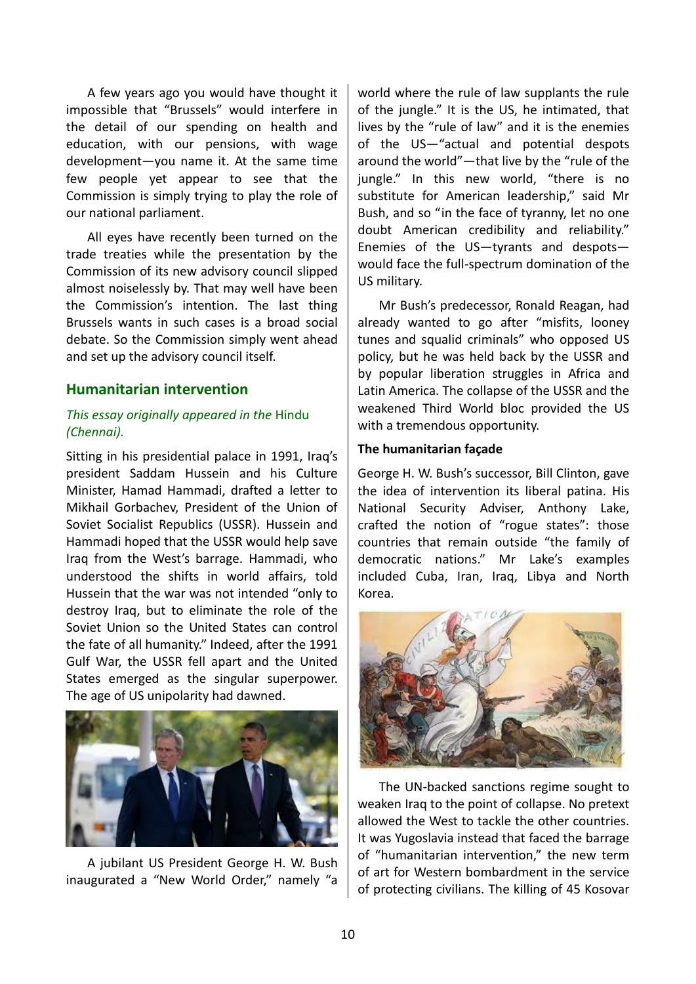A few years ago you would have thought it impossible that "Brussels" would interfere in the detail of our spending on health and education, with our pensions, with wage development—you name it. At the same time few people yet appear to see that the Commission is simply trying to play the role of our national parliament.

All eyes have recently been turned on the trade treaties while the presentation by the Commission of its new advisory council slipped almost noiselessly by. That may well have been the Commission's intention. The last thing Brussels wants in such cases is a broad social debate. So the Commission simply went ahead and set up the advisory council itself.

## **Humanitarian intervention**

## *This essay originally appeared in the* Hindu *(Chennai).*

Sitting in his presidential palace in 1991, Iraq's president Saddam Hussein and his Culture Minister, Hamad Hammadi, drafted a letter to Mikhail Gorbachev, President of the Union of Soviet Socialist Republics (USSR). Hussein and Hammadi hoped that the USSR would help save Iraq from the West's barrage. Hammadi, who understood the shifts in world affairs, told Hussein that the war was not intended "only to destroy Iraq, but to eliminate the role of the Soviet Union so the United States can control the fate of all humanity." Indeed, after the 1991 Gulf War, the USSR fell apart and the United States emerged as the singular superpower. The age of US unipolarity had dawned.



A jubilant US President George H. W. Bush inaugurated a "New World Order," namely "a

world where the rule of law supplants the rule of the jungle." It is the US, he intimated, that lives by the "rule of law" and it is the enemies of the US—"actual and potential despots around the world"—that live by the "rule of the jungle." In this new world, "there is no substitute for American leadership," said Mr Bush, and so "in the face of tyranny, let no one doubt American credibility and reliability." Enemies of the US—tyrants and despots would face the full-spectrum domination of the US military.

Mr Bush's predecessor, Ronald Reagan, had already wanted to go after "misfits, looney tunes and squalid criminals" who opposed US policy, but he was held back by the USSR and by popular liberation struggles in Africa and Latin America. The collapse of the USSR and the weakened Third World bloc provided the US with a tremendous opportunity.

#### **The humanitarian façade**

George H. W. Bush's successor, Bill Clinton, gave the idea of intervention its liberal patina. His National Security Adviser, Anthony Lake, crafted the notion of "rogue states": those countries that remain outside "the family of democratic nations." Mr Lake's examples included Cuba, Iran, Iraq, Libya and North Korea.

![](_page_9_Picture_11.jpeg)

The UN-backed sanctions regime sought to weaken Iraq to the point of collapse. No pretext allowed the West to tackle the other countries. It was Yugoslavia instead that faced the barrage of "humanitarian intervention," the new term of art for Western bombardment in the service of protecting civilians. The killing of 45 Kosovar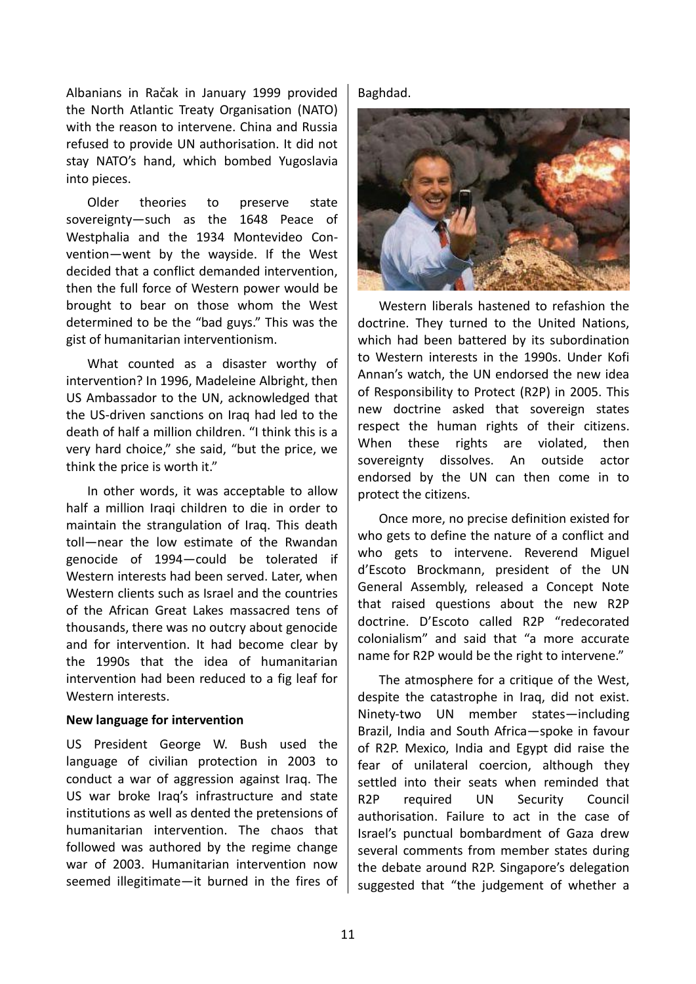Albanians in Račak in January 1999 provided the North Atlantic Treaty Organisation (NATO) with the reason to intervene. China and Russia refused to provide UN authorisation. It did not stay NATO's hand, which bombed Yugoslavia into pieces.

Older theories to preserve state sovereignty—such as the 1648 Peace of Westphalia and the 1934 Montevideo Convention—went by the wayside. If the West decided that a conflict demanded intervention, then the full force of Western power would be brought to bear on those whom the West determined to be the "bad guys." This was the gist of humanitarian interventionism.

What counted as a disaster worthy of intervention? In 1996, Madeleine Albright, then US Ambassador to the UN, acknowledged that the US-driven sanctions on Iraq had led to the death of half a million children. "I think this is a very hard choice," she said, "but the price, we think the price is worth it."

In other words, it was acceptable to allow half a million Iraqi children to die in order to maintain the strangulation of Iraq. This death toll—near the low estimate of the Rwandan genocide of 1994—could be tolerated if Western interests had been served. Later, when Western clients such as Israel and the countries of the African Great Lakes massacred tens of thousands, there was no outcry about genocide and for intervention. It had become clear by the 1990s that the idea of humanitarian intervention had been reduced to a fig leaf for Western interests.

#### **New language for intervention**

US President George W. Bush used the language of civilian protection in 2003 to conduct a war of aggression against Iraq. The US war broke Iraq's infrastructure and state institutions as well as dented the pretensions of humanitarian intervention. The chaos that followed was authored by the regime change war of 2003. Humanitarian intervention now seemed illegitimate—it burned in the fires of

Baghdad.

![](_page_10_Picture_7.jpeg)

Western liberals hastened to refashion the doctrine. They turned to the United Nations, which had been battered by its subordination to Western interests in the 1990s. Under Kofi Annan's watch, the UN endorsed the new idea of Responsibility to Protect (R2P) in 2005. This new doctrine asked that sovereign states respect the human rights of their citizens. When these rights are violated, then sovereignty dissolves. An outside actor endorsed by the UN can then come in to protect the citizens.

Once more, no precise definition existed for who gets to define the nature of a conflict and who gets to intervene. Reverend Miguel d'Escoto Brockmann, president of the UN General Assembly, released a Concept Note that raised questions about the new R2P doctrine. D'Escoto called R2P "redecorated colonialism" and said that "a more accurate name for R2P would be the right to intervene."

The atmosphere for a critique of the West, despite the catastrophe in Iraq, did not exist. Ninety-two UN member states—including Brazil, India and South Africa—spoke in favour of R2P. Mexico, India and Egypt did raise the fear of unilateral coercion, although they settled into their seats when reminded that R2P required UN Security Council authorisation. Failure to act in the case of Israel's punctual bombardment of Gaza drew several comments from member states during the debate around R2P. Singapore's delegation suggested that "the judgement of whether a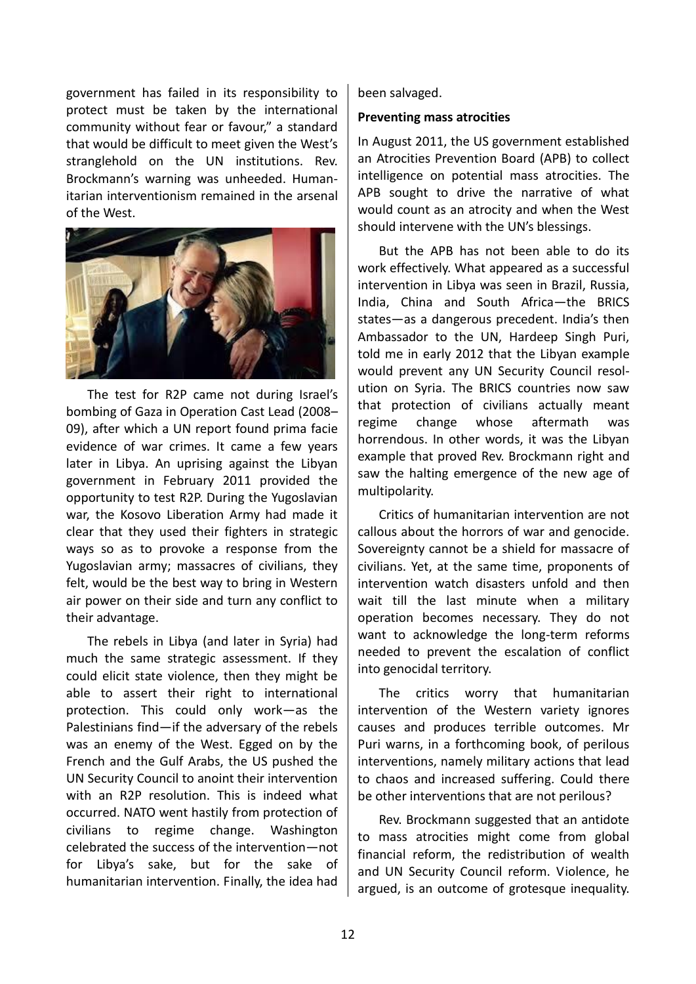government has failed in its responsibility to protect must be taken by the international community without fear or favour," a standard that would be difficult to meet given the West's stranglehold on the UN institutions. Rev. Brockmann's warning was unheeded. Humanitarian interventionism remained in the arsenal of the West.

![](_page_11_Picture_1.jpeg)

The test for R2P came not during Israel's bombing of Gaza in Operation Cast Lead (2008– 09), after which a UN report found prima facie evidence of war crimes. It came a few years later in Libya. An uprising against the Libyan government in February 2011 provided the opportunity to test R2P. During the Yugoslavian war, the Kosovo Liberation Army had made it clear that they used their fighters in strategic ways so as to provoke a response from the Yugoslavian army; massacres of civilians, they felt, would be the best way to bring in Western air power on their side and turn any conflict to their advantage.

The rebels in Libya (and later in Syria) had much the same strategic assessment. If they could elicit state violence, then they might be able to assert their right to international protection. This could only work—as the Palestinians find—if the adversary of the rebels was an enemy of the West. Egged on by the French and the Gulf Arabs, the US pushed the UN Security Council to anoint their intervention with an R2P resolution. This is indeed what occurred. NATO went hastily from protection of civilians to regime change. Washington celebrated the success of the intervention—not for Libya's sake, but for the sake of humanitarian intervention. Finally, the idea had been salvaged.

### **Preventing mass atrocities**

In August 2011, the US government established an Atrocities Prevention Board (APB) to collect intelligence on potential mass atrocities. The APB sought to drive the narrative of what would count as an atrocity and when the West should intervene with the UN's blessings.

But the APB has not been able to do its work effectively. What appeared as a successful intervention in Libya was seen in Brazil, Russia, India, China and South Africa—the BRICS states—as a dangerous precedent. India's then Ambassador to the UN, Hardeep Singh Puri, told me in early 2012 that the Libyan example would prevent any UN Security Council resolution on Syria. The BRICS countries now saw that protection of civilians actually meant regime change whose aftermath was horrendous. In other words, it was the Libyan example that proved Rev. Brockmann right and saw the halting emergence of the new age of multipolarity.

Critics of humanitarian intervention are not callous about the horrors of war and genocide. Sovereignty cannot be a shield for massacre of civilians. Yet, at the same time, proponents of intervention watch disasters unfold and then wait till the last minute when a military operation becomes necessary. They do not want to acknowledge the long-term reforms needed to prevent the escalation of conflict into genocidal territory.

The critics worry that humanitarian intervention of the Western variety ignores causes and produces terrible outcomes. Mr Puri warns, in a forthcoming book, of perilous interventions, namely military actions that lead to chaos and increased suffering. Could there be other interventions that are not perilous?

Rev. Brockmann suggested that an antidote to mass atrocities might come from global financial reform, the redistribution of wealth and UN Security Council reform. Violence, he argued, is an outcome of grotesque inequality.